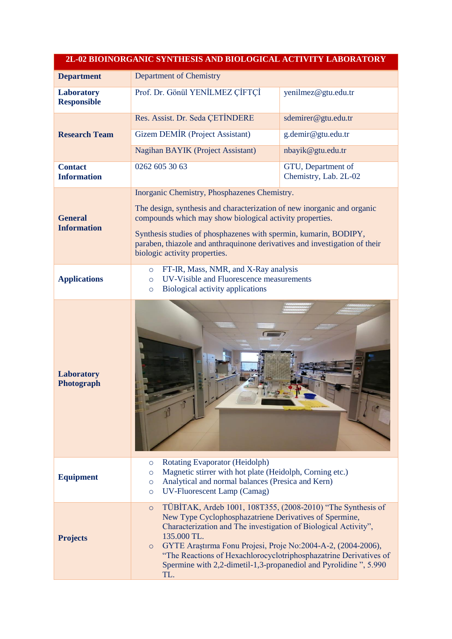| 2L-02 BIOINORGANIC SYNTHESIS AND BIOLOGICAL ACTIVITY LABORATORY |                                                                                                                                                                                                                                                                                                                                                                                                                                               |                                             |
|-----------------------------------------------------------------|-----------------------------------------------------------------------------------------------------------------------------------------------------------------------------------------------------------------------------------------------------------------------------------------------------------------------------------------------------------------------------------------------------------------------------------------------|---------------------------------------------|
| <b>Department</b>                                               | <b>Department of Chemistry</b>                                                                                                                                                                                                                                                                                                                                                                                                                |                                             |
| <b>Laboratory</b><br><b>Responsible</b>                         | Prof. Dr. Gönül YENİLMEZ ÇİFTÇİ                                                                                                                                                                                                                                                                                                                                                                                                               | yenilmez@gtu.edu.tr                         |
| <b>Research Team</b>                                            | Res. Assist. Dr. Seda CETİNDERE                                                                                                                                                                                                                                                                                                                                                                                                               | sdemirer@gtu.edu.tr                         |
|                                                                 | <b>Gizem DEMİR (Project Assistant)</b>                                                                                                                                                                                                                                                                                                                                                                                                        | g.demir@gtu.edu.tr                          |
|                                                                 | Nagihan BAYIK (Project Assistant)                                                                                                                                                                                                                                                                                                                                                                                                             | nbayik@gtu.edu.tr                           |
| <b>Contact</b><br><b>Information</b>                            | 0262 605 30 63                                                                                                                                                                                                                                                                                                                                                                                                                                | GTU, Department of<br>Chemistry, Lab. 2L-02 |
| <b>General</b><br><b>Information</b>                            | Inorganic Chemistry, Phosphazenes Chemistry.<br>The design, synthesis and characterization of new inorganic and organic<br>compounds which may show biological activity properties.<br>Synthesis studies of phosphazenes with spermin, kumarin, BODIPY,<br>paraben, thiazole and anthraquinone derivatives and investigation of their<br>biologic activity properties.                                                                        |                                             |
| <b>Applications</b>                                             | FT-IR, Mass, NMR, and X-Ray analysis<br>$\circ$<br>UV-Visible and Fluorescence measurements<br>$\circ$<br>Biological activity applications<br>$\circ$                                                                                                                                                                                                                                                                                         |                                             |
| Laboratory<br>Photograph                                        |                                                                                                                                                                                                                                                                                                                                                                                                                                               |                                             |
| <b>Equipment</b>                                                | Rotating Evaporator (Heidolph)<br>$\circ$<br>Magnetic stirrer with hot plate (Heidolph, Corning etc.)<br>$\circ$<br>Analytical and normal balances (Presica and Kern)<br>$\circ$<br><b>UV-Fluorescent Lamp (Camag)</b><br>$\circ$                                                                                                                                                                                                             |                                             |
| <b>Projects</b>                                                 | TÜBİTAK, Ardeb 1001, 108T355, (2008-2010) "The Synthesis of<br>$\circ$<br>New Type Cyclophosphazatriene Derivatives of Spermine,<br>Characterization and The investigation of Biological Activity",<br>135.000 TL.<br>GYTE Araștirma Fonu Projesi, Proje No:2004-A-2, (2004-2006),<br>$\circ$<br>"The Reactions of Hexachlorocyclotriphosphazatrine Derivatives of<br>Spermine with 2,2-dimetil-1,3-propanediol and Pyrolidine", 5.990<br>TL. |                                             |